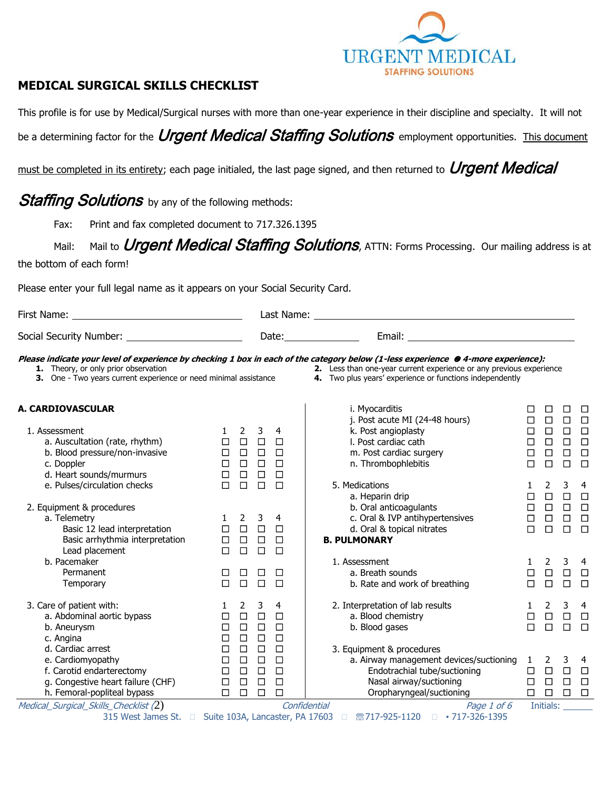

## **MEDICAL SURGICAL SKILLS CHECKLIST**

This profile is for use by Medical/Surgical nurses with more than one-year experience in their discipline and specialty. It will not

be a determining factor for the *Urgent Medical Staffing Solutions* employment opportunities. This document

must be completed in its entirety; each page initialed, the last page signed, and then returned to *Urgent Medical* 

# **Staffing Solutions** by any of the following methods:

Fax: Print and fax completed document to 717.326.1395

# Mail: Mail to *Urgent Medical Staffing Solutions*, ATTN: Forms Processing. Our mailing address is at

the bottom of each form!

Please enter your full legal name as it appears on your Social Security Card.

| First Name:<br><u> 1980 - Johann Barn, fransk politik (d. 1980)</u>                                      |                                      |                                      |                                      |                                      |                                                                                                                                                                                                                                                                      |  |  |  |
|----------------------------------------------------------------------------------------------------------|--------------------------------------|--------------------------------------|--------------------------------------|--------------------------------------|----------------------------------------------------------------------------------------------------------------------------------------------------------------------------------------------------------------------------------------------------------------------|--|--|--|
|                                                                                                          |                                      |                                      |                                      |                                      |                                                                                                                                                                                                                                                                      |  |  |  |
| 1. Theory, or only prior observation<br>3. One - Two years current experience or need minimal assistance |                                      |                                      |                                      |                                      | Please indicate your level of experience by checking 1 box in each of the category below (1-less experience @ 4-more experience):<br>2. Less than one-year current experience or any previous experience<br>4. Two plus years' experience or functions independently |  |  |  |
| A. CARDIOVASCULAR                                                                                        |                                      |                                      |                                      |                                      | i. Myocarditis<br>□<br>П<br>□                                                                                                                                                                                                                                        |  |  |  |
| 1. Assessment<br>a. Auscultation (rate, rhythm)                                                          | 1<br>□                               | 2<br>$\Box$                          | 3<br>$\Box$                          | 4<br>□                               | $\Box$<br>$\Box$<br>j. Post acute MI (24-48 hours)<br>$\Box$<br>□<br>$\Box$<br>$\Box$<br>k. Post angioplasty<br>$\Box$<br>$\Box$<br>$\Box$<br>I. Post cardiac cath<br>$\Box$<br>$\Box$<br>$\Box$                                                                     |  |  |  |
| b. Blood pressure/non-invasive<br>c. Doppler                                                             | $\Box$<br>$\Box$                     | $\Box$<br>$\Box$                     | $\Box$<br>$\Box$                     | $\Box$<br>$\Box$                     | $\Box$<br>$\Box$<br>m. Post cardiac surgery<br>$\Box$<br>□<br>$\Box$<br>n. Thrombophlebitis<br>$\Box$<br>$\Box$<br>$\Box$                                                                                                                                            |  |  |  |
| d. Heart sounds/murmurs<br>e. Pulses/circulation checks                                                  | $\Box$<br>$\Box$                     | $\Box$<br>$\Box$                     | $\Box$<br>$\Box$                     | $\Box$<br>$\Box$                     | 5. Medications<br>3<br>2<br>$\overline{4}$<br>$\Box$<br>$\Box$<br>a. Heparin drip<br>$\Box$<br>□                                                                                                                                                                     |  |  |  |
| 2. Equipment & procedures<br>a. Telemetry<br>Basic 12 lead interpretation                                | $\mathbf{1}$<br>$\Box$               | 2<br>$\Box$                          | 3<br>$\Box$                          | 4<br>$\Box$                          | $\Box$<br>$\Box$<br>b. Oral anticoagulants<br>$\Box$<br>□<br>$\Box$<br>$\Box$<br>c. Oral & IVP antihypertensives<br>$\Box$<br>$\Box$<br>d. Oral & topical nitrates<br>$\Box$<br>$\Box$<br>$\Box$<br>$\Box$                                                           |  |  |  |
| Basic arrhythmia interpretation<br>Lead placement                                                        | $\Box$<br>$\Box$                     | $\Box$<br>$\Box$                     | $\Box$<br>$\Box$                     | $\Box$<br>$\Box$                     | <b>B. PULMONARY</b>                                                                                                                                                                                                                                                  |  |  |  |
| b. Pacemaker<br>Permanent<br>Temporary                                                                   | □<br>$\Box$                          | $\Box$<br>$\Box$                     | □<br>$\Box$                          | $\Box$<br>$\Box$                     | 3<br>1. Assessment<br>2<br>-4<br>$\mathbf{1}$<br>$\Box$<br>a. Breath sounds<br>$\Box$<br>$\Box$<br>$\Box$<br>$\Box$<br>$\Box$<br>$\Box$<br>b. Rate and work of breathing<br>$\Box$                                                                                   |  |  |  |
| 3. Care of patient with:<br>a. Abdominal aortic bypass<br>b. Aneurysm<br>c. Angina                       | 1<br>$\Box$<br>□<br>$\Box$           | 2<br>$\Box$<br>$\Box$<br>$\Box$      | 3<br>$\Box$<br>$\Box$<br>$\Box$      | 4<br>$\Box$<br>□<br>$\Box$           | 3<br>2. Interpretation of lab results<br>2<br>$\overline{4}$<br>$\mathbf{1}$<br>$\Box$<br>$\Box$<br>$\Box$<br>a. Blood chemistry<br>$\Box$<br>b. Blood gases<br>$\Box$<br>$\Box$<br>$\Box$<br>$\Box$                                                                 |  |  |  |
| d. Cardiac arrest<br>e. Cardiomyopathy<br>f. Carotid endarterectomy<br>g. Congestive heart failure (CHF) | $\Box$<br>$\Box$<br>$\Box$<br>$\Box$ | $\Box$<br>$\Box$<br>$\Box$<br>$\Box$ | $\Box$<br>$\Box$<br>$\Box$<br>$\Box$ | $\Box$<br>$\Box$<br>$\Box$<br>$\Box$ | 3. Equipment & procedures<br>a. Airway management devices/suctioning 1<br>2<br>3<br>-4<br>$\Box$<br>$\Box$ $\Box$<br>Endotrachial tube/suctioning<br>$\Box$<br>$\Box$<br>$\Box$<br>$\Box$<br>Nasal airway/suctioning<br>$\Box$                                       |  |  |  |
| h. Femoral-popliteal bypass<br>Medical_Surgical_Skills_Checklist (2)                                     | $\Box$                               | $\Box$                               | $\Box$                               | $\Box$                               | $\Box$<br>Oropharyngeal/suctioning<br>$\Box$<br>$\Box$<br>$\Box$<br>Confidential<br>Page 1 of 6<br>Initials:                                                                                                                                                         |  |  |  |

315 West James St. □ Suite 103A, Lancaster, PA 17603 □ ®717-925-1120 □ •717-326-1395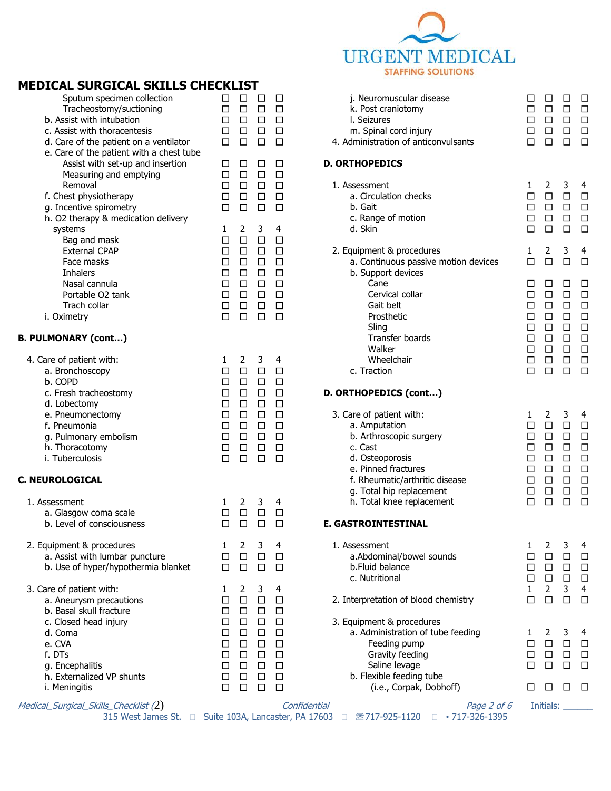

#### **MEDICAL SURGICAL SKILLS CHECKLIST**   $\Delta$  Medical\_Surgical\_Skills\_Checklist (2)  $\Delta$  confidential  $\Delta$   $P$ age 2 of 6  $\Delta$  Initials: Sputum specimen collection <br>
□ □ □ □ Tracheostomy/suctioning □ □ □ □  $b.$  Assist with intubation  $\Box$   $\Box$   $\Box$   $\Box$   $\Box$   $\Box$   $\Box$ c. Assist with thoracentesis <del>□ </u>□ □ □</del> d. Care of the patient on a ventilator – □ □ □ □ e. Care of the patient with a chest tube Assist with set-up and insertion  $□ □ □ □ □ □$ Measuring and emptying  $\Box$   $\Box$   $\Box$   $\Box$ Removal ☐ ☐ ☐ ☐ f. Chest physiotherapy ☐ ☐ ☐ ☐ g. Incentive spirometry ☐ ☐ ☐ ☐ h. O2 therapy & medication delivery systems 1 2 3 4 Bag and mask ☐ ☐ ☐ ☐ External CPAP ☐ ☐ ☐ ☐ Face masks ☐ ☐ ☐ ☐ Inhalers ☐ ☐ ☐ ☐ Nasal cannula<br>
Portable O2 tank □<br>
□ □ □ □ Portable O2 tank ☐ ☐ ☐ ☐ Trach collar ☐ ☐ ☐ ☐ i. Oximetry ☐ ☐ ☐ ☐ **B. PULMONARY (cont…)** 4. Care of patient with:  $\begin{array}{ccccccc} 1 & 2 & 3 & 4 \\ a. & \text{Bronchoscopy} & \Box & \Box & \Box & \Box \end{array}$ a. Bronchoscopy ☐ ☐ ☐ ☐ b. COPD ☐ ☐ ☐ ☐ c. Fresh tracheostomy ☐ ☐ ☐ ☐ d. Lobectomy <del>is a quality</del> □ □ □ □ □ e. Pneumonectomy ☐ ☐ ☐ ☐ f. Pneumonia ☐ ☐ ☐ ☐ g. Pulmonary embolism ☐ ☐ ☐ ☐ h. Thoracotomy ☐ ☐ ☐ ☐ i. Tuberculosis ☐ ☐ ☐ ☐ **C. NEUROLOGICAL** 1. Assessment 1 2 3 4<br>
a. Glasgow coma scale  $\Box$   $\Box$   $\Box$   $\Box$   $\Box$ a. Glasgow coma scale ☐ ☐ ☐ ☐ b. Level of consciousness <br>
□ □ □ 2. Equipment & procedures 1 2 3 4 a. Assist with lumbar puncture <br>
□ □ □ □ b. Use of hyper/hypothermia blanket □ □ □ □ 3. Care of patient with: 1 2 3 4 a. Aneurysm precautions ☐ ☐ ☐ ☐ b. Basal skull fracture ☐ ☐ ☐ ☐ c. Closed head injury ☐ ☐ ☐ ☐ d. Coma ☐ ☐ ☐ ☐ e. CVA ☐ ☐ ☐ ☐ f. DTs ☐ ☐ ☐ ☐ g. Encephalitis ☐ ☐ ☐ ☐ h. Externalized VP shunts ☐ ☐ ☐ ☐ i. Meningitis ☐ ☐ ☐ ☐ j. Neuromuscular disease ☐ ☐ ☐ ☐ k. Post craniotomy ☐ ☐ ☐ ☐ l. Seizures ☐ ☐ ☐ ☐ m. Spinal cord injury ☐ ☐ ☐ ☐ 4. Administration of anticonvulsants □ □ □ **D. ORTHOPEDICS** 1. Assessment 1 2 3 4 a. Circulation checks ☐ ☐ ☐ ☐ b. Gait ☐ ☐ ☐ ☐ c. Range of motion ☐ ☐ ☐ ☐ d. Skin ☐ ☐ ☐ ☐ 2. Equipment & procedures 1 2 3 4 a. Continuous passive motion devices <del>□ □ □ □</del> b. Support devices  $\Box$   $\Box$   $\Box$   $\Box$   $\Box$   $\Box$ Cervical collar ☐ ☐ ☐ ☐ Gait belt ☐ ☐ ☐ ☐ Prosthetic □ □ □ □ □ Sling ☐ ☐ ☐ ☐ Transfer boards ☐ ☐ ☐ ☐ Walker ☐ ☐ ☐ ☐ Wheelchair ☐ ☐ ☐ ☐ c. Traction ☐ ☐ ☐ ☐ **D. ORTHOPEDICS (cont…)** 3. Care of patient with: 1 2 3 4 a. Amputation ☐ ☐ ☐ ☐ b. Arthroscopic surgery ☐ ☐ ☐ ☐ c. Cast ☐ ☐ ☐ ☐ d. Osteoporosis ☐ ☐ ☐ ☐ e. Pinned fractures ☐ ☐ ☐ ☐ f. Rheumatic/arthritic disease □ □ □ g. Total hip replacement ☐ ☐ ☐ ☐ h. Total knee replacement ☐ ☐ ☐ ☐ **E. GASTROINTESTINAL** 1. Assessment 1 2 3 4 a.Abdominal/bowel sounds ☐ ☐ ☐ ☐ **b.Fluid balance** □ □ c. Nutritional ☐ ☐ ☐ ☐ 1 2 3 4 2. Interpretation of blood chemistry <br>
□ □ □ □ 3. Equipment & procedures a. Administration of tube feeding 1 2 3 4 Feeding pump ☐ ☐ ☐ ☐ Gravity feeding ☐ ☐ ☐ ☐ Saline levage ☐ ☐ ☐ ☐ b. Flexible feeding tube (i.e., Corpak, Dobhoff) □ □ □

315 West James St. □ Suite 103A, Lancaster, PA 17603 □ ®717-925-1120 □ •717-326-1395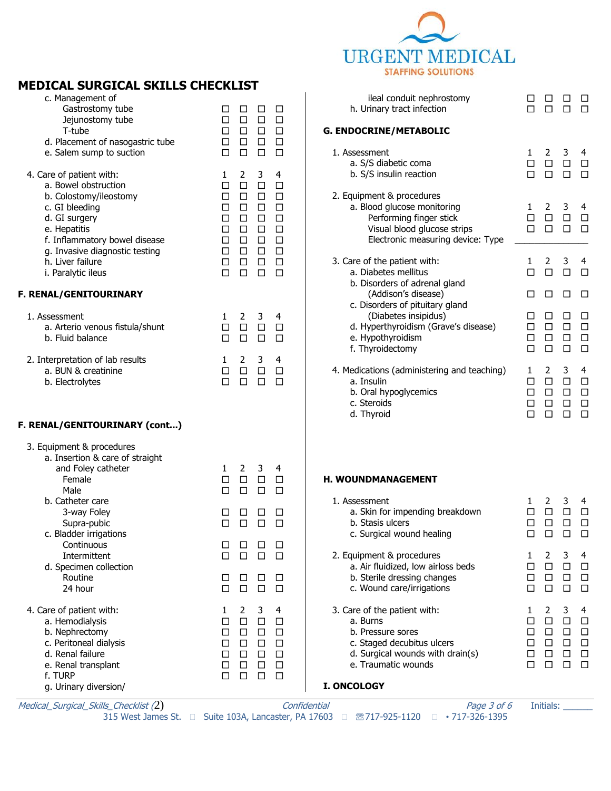

#### c. Management of Gastrostomy tube ☐ ☐ ☐ ☐ Jejunostomy tube ☐ ☐ ☐ ☐ T-tube ☐ ☐ ☐ ☐ d. Placement of nasogastric tube □ □ □ □ e. Salem sump to suction ☐ ☐ ☐ ☐ 4. Care of patient with: 1 2 3 4 a. Bowel obstruction ☐ ☐ ☐ ☐ b. Colostomy/ileostomy  $□ □ □ □ □ □$ c. GI bleeding ☐ ☐ ☐ ☐ d. GI surgery ☐ ☐ ☐ ☐ e. Hepatitis ☐ ☐ ☐ ☐ f. Inflammatory bowel disease □ □□□□ g. Invasive diagnostic testing  $□ □ □ □ □ □ □ □ □$ h. Liver failure ☐ ☐ ☐ ☐ i. Paralytic ileus ☐ ☐ ☐ ☐ **F. RENAL/GENITOURINARY** 1. Assessment 1 2 3 4 a. Arterio venous fistula/shunt ☐ ☐ ☐ ☐ b. Fluid balance ☐ ☐ ☐ ☐ 2. Interpretation of lab results 1 2 3 4 a. BUN & creatinine ☐ ☐ ☐ ☐ b. Electrolytes ☐ ☐ ☐ ☐ **F. RENAL/GENITOURINARY (cont...)** 3. Equipment & procedures a. Insertion & care of straight and Foley catheter 1 2 3 4<br>
Female  $\Box$   $\Box$   $\Box$   $\Box$   $\Box$ Female □ Male ☐ ☐ ☐ ☐ b. Catheter care 3-way Foley ☐ ☐ ☐ ☐ Supra-pubic ☐ ☐ ☐ ☐ c. Bladder irrigations Continuous □ □ □ □ Intermittent ☐ ☐ ☐ ☐ d. Specimen collection Routine ☐ ☐ ☐ ☐ 24 hour ◯ ◯ ◯ ◯ ◯ ◯ 4. Care of patient with:  $\begin{array}{ccccccc} 1 & 2 & 3 & 4 \\ a. & \text{Hemodialysis} & & \Box & \Box & \Box & \Box \end{array}$ a. Hemodialysis ☐ ☐ ☐ ☐ b. Nephrectomy ☐ ☐ ☐ ☐ c. Peritoneal dialysis ☐ ☐ ☐ ☐ d. Renal failure ☐ ☐ ☐ ☐ e. Renal transplant ☐ ☐ ☐ ☐ f. TURP ☐ ☐ ☐ ☐ g. Urinary diversion/ ileal conduit nephrostomy ☐ ☐ ☐ ☐ h. Urinary tract infection <br>
□ □ □ □ **G. ENDOCRINE/METABOLIC** 1. Assessment 1 2 3 4 a. S/S diabetic coma ☐ ☐ ☐ ☐ b. S/S insulin reaction ☐ ☐ ☐ ☐ 2. Equipment & procedures a. Blood glucose monitoring 1 2 3 4 Performing finger stick ☐ ☐ ☐ ☐ Visual blood glucose strips <br>
□ □ □ □ Electronic measuring device: Type 3. Care of the patient with: 1 2 3 4 a. Diabetes mellitus ☐ ☐ ☐ ☐ b. Disorders of adrenal gland (Addison's disease) □ □ □ □ c. Disorders of pituitary gland (Diabetes insipidus) ☐ ☐ ☐ ☐ d. Hyperthyroidism (Grave's disease) □ □ □ □ e. Hypothyroidism ☐ ☐ ☐ ☐ f. Thyroidectomy ☐ ☐ ☐ ☐ 4. Medications (administering and teaching)  $1 \quad 2 \quad 3 \quad 4$ <br>a. Insulin  $\Box$   $\Box$   $\Box$ a. Insulin  $\Box$ b. Oral hypoglycemics ☐ ☐ ☐ ☐ c. Steroids ☐ ☐ ☐ ☐ d. Thyroid ☐ ☐ ☐ ☐ **H. WOUNDMANAGEMENT** 1. Assessment 1 2 3 4<br>
a. Skin for impending breakdown  $\Box$   $\Box$   $\Box$   $\Box$ a. Skin for impending breakdown  $\Box$ b. Stasis ulcers ☐ ☐ ☐ ☐ c. Surgical wound healing ☐ ☐ ☐ ☐ 2. Equipment & procedures  $1 \quad 2 \quad 3 \quad 4$ <br>
a. Air fluidized, low airloss beds  $\Box \quad \Box \quad \Box$ a. Air fluidized, low airloss beds b. Sterile dressing changes ☐ ☐ ☐ ☐ c. Wound care/irrigations ☐ ☐ ☐ ☐ 3. Care of the patient with: 1 2 3 4 a. Burns ☐ ☐ ☐ ☐ b. Pressure sores ☐ ☐ ☐ ☐ c. Staged decubitus ulcers ☐ ☐ ☐ ☐ d. Surgical wounds with drain(s) ☐ ☐ ☐ ☐ e. Traumatic wounds ☐ ☐ ☐ ☐ **I. ONCOLOGY**

Medical\_Surgical\_Skills\_Checklist (2) and the confidential results of the Page 3 of 6 Initials:

**MEDICAL SURGICAL SKILLS CHECKLIST** 

315 West James St. □ Suite 103A, Lancaster, PA 17603 □ ®717-925-1120 □ •717-326-1395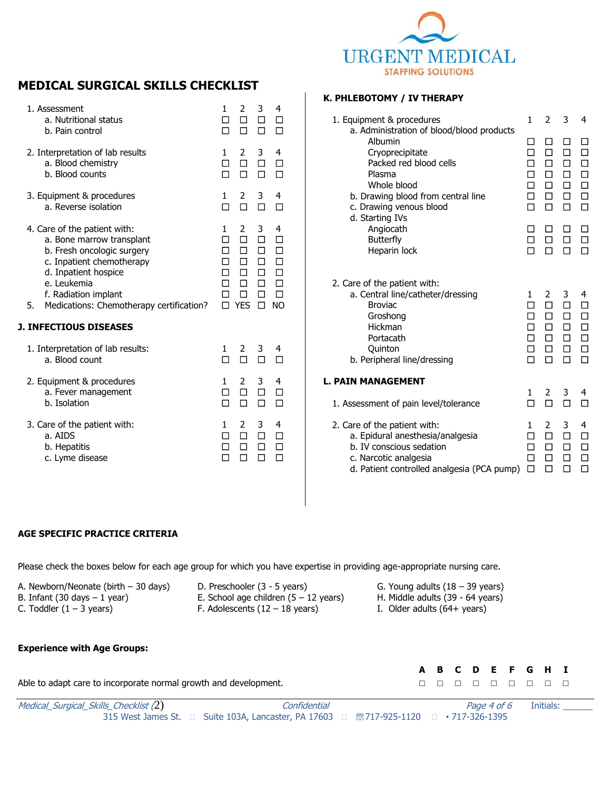

# **MEDICAL SURGICAL SKILLS CHECKLIST**

| 1. Assessment<br>a. Nutritional status<br>b. Pain control                                                                                                                                                                                                              | 1<br>□<br>п                          | 2<br>□<br>п                                             | 3<br>□<br>П                                              | 4<br>□                                                                          |
|------------------------------------------------------------------------------------------------------------------------------------------------------------------------------------------------------------------------------------------------------------------------|--------------------------------------|---------------------------------------------------------|----------------------------------------------------------|---------------------------------------------------------------------------------|
| 2. Interpretation of lab results<br>a. Blood chemistry<br>b. Blood counts                                                                                                                                                                                              | 1<br>□<br>п                          | 2<br>$\Box$<br>п                                        | 3<br>$\Box$<br>п                                         | 4<br>$\Box$                                                                     |
| 3. Equipment & procedures<br>a. Reverse isolation                                                                                                                                                                                                                      | 1<br>п                               | 2<br>П                                                  | 3<br>П                                                   | 4<br>П                                                                          |
| 4. Care of the patient with:<br>a. Bone marrow transplant<br>b. Fresh oncologic surgery<br>c. Inpatient chemotherapy<br>d. Inpatient hospice<br>e. Leukemia<br>f. Radiation implant<br>5.<br>Medications: Chemotherapy certification?<br><b>J. INFECTIOUS DISEASES</b> | 1<br>п<br>П<br>П<br>п<br>□<br>П<br>п | 2<br>п<br>□<br>$\Box$<br>п<br>□<br>$\Box$<br><b>YES</b> | 3<br>□<br>$\Box$<br>$\Box$<br>$\Box$<br>$\Box$<br>□<br>□ | 4<br>$\Box$<br>$\Box$<br>$\Box$<br>$\Box$<br>$\Box$<br>$\Box$<br>N <sub>O</sub> |
| 1. Interpretation of lab results:<br>a. Blood count                                                                                                                                                                                                                    | 1.<br>П                              | 2<br>п                                                  | 3<br>П                                                   | 4                                                                               |
| 2. Equipment & procedures<br>a. Fever management<br>b. Isolation                                                                                                                                                                                                       | 1<br>п<br>п                          | 2<br>П                                                  | 3<br>$\Box$                                              | 4<br>П                                                                          |
| 3. Care of the patient with:<br>a. AIDS<br>b. Hepatitis<br>c. Lyme disease                                                                                                                                                                                             | 1<br>П<br>П                          | 2<br>п<br>П                                             | 3<br>П.<br>П                                             | 4<br>П                                                                          |

#### **K. PHLEBOTOMY / IV THERAPY**

| 1. Equipment & procedures                                                                                                                                                                                      | 1                                    | 2                                    | 3                                    | 4                                                   |
|----------------------------------------------------------------------------------------------------------------------------------------------------------------------------------------------------------------|--------------------------------------|--------------------------------------|--------------------------------------|-----------------------------------------------------|
| a. Administration of blood/blood products<br>Albumin<br>Cryoprecipitate<br>Packed red blood cells<br>Plasma<br>Whole blood<br>b. Drawing blood from central line<br>c. Drawing venous blood<br>d. Starting IVs | П<br>п<br>п<br>п<br>п<br>$\Box$<br>п | П<br>□<br>□<br>п<br>□<br>$\Box$<br>п | $\Box$<br>□<br>П<br>□<br>□<br>п      | □<br>$\Box$<br>$\Box$<br>П<br>$\Box$<br>$\Box$<br>П |
| Angiocath<br><b>Butterfly</b><br>Heparin lock                                                                                                                                                                  | п<br>п                               | ΙI<br>$\Box$<br>п                    | ◻<br>□<br>п                          | □<br>□<br>п                                         |
| 2. Care of the patient with:<br>a. Central line/catheter/dressing<br><b>Broviac</b><br>Groshong<br>Hickman<br>Portacath<br><b>Quinton</b><br>b. Peripheral line/dressing                                       | 1<br>п<br>◻<br>п<br>п<br>п<br>п      | 2<br>П<br>□<br>$\Box$<br>□<br>□<br>п | 3<br>П<br>$\Box$<br>□<br>□<br>□<br>П | 4<br>□<br>□<br>$\Box$<br>$\Box$<br>□<br>п           |
| <b>L. PAIN MANAGEMENT</b><br>1. Assessment of pain level/tolerance                                                                                                                                             | 1<br>П                               | 2<br>П                               | 3<br>п                               | 4<br>п                                              |
| 2. Care of the patient with:<br>a. Epidural anesthesia/analgesia<br>b. IV conscious sedation<br>c. Narcotic analgesia<br>d. Patient controlled analgesia (PCA pump)                                            | 1<br>П<br>п<br>$\Box$<br>П           | 2<br>п<br>◻<br>п<br>п                | 3<br>□<br>□<br>П<br>п                | 4<br>□<br>□<br>П<br>□                               |

#### **AGE SPECIFIC PRACTICE CRITERIA**

Please check the boxes below for each age group for which you have expertise in providing age-appropriate nursing care.

| A. Newborn/Neonate (birth $-30$ days)          | D. Preschooler (3 - 5 years)                    | G. Young adults $(18 - 39 \text{ years})$ |
|------------------------------------------------|-------------------------------------------------|-------------------------------------------|
| B. Infant $(30 \text{ days} - 1 \text{ year})$ | E. School age children $(5 - 12 \text{ years})$ | H. Middle adults (39 - 64 years)          |
| C. Toddler $(1 – 3$ years)                     | F. Adolescents $(12 - 18$ years)                | I. Older adults $(64 + \text{ years})$    |

## **Experience with Age Groups:**

|                                                                  |  |  |  | A B C D E F G H I |  |
|------------------------------------------------------------------|--|--|--|-------------------|--|
| Able to adapt care to incorporate normal growth and development. |  |  |  | .                 |  |

| Medical_Surgical_Skills_Checklist (2) | Confidential                                                                                                      |  |  |
|---------------------------------------|-------------------------------------------------------------------------------------------------------------------|--|--|
|                                       | 315 West James St. $\Box$ Suite 103A, Lancaster, PA 17603 $\Box$ <sup>37</sup> 717-925-1120 $\Box$ • 717-326-1395 |  |  |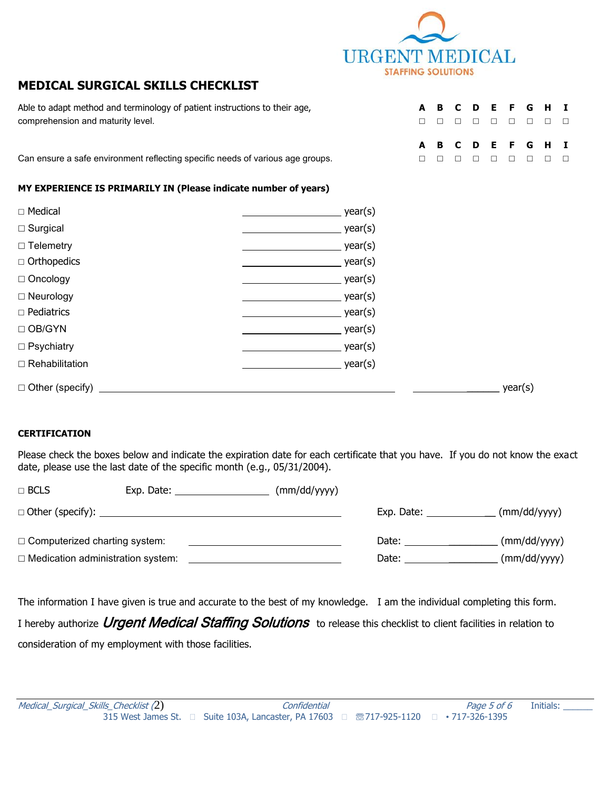

**A B C D E F G H I**

# **MEDICAL SURGICAL SKILLS CHECKLIST**

Able to adapt method and terminology of patient instructions to their age, **A B C D E F G H I** comprehension and maturity level. ☐ ☐ ☐ ☐ ☐ ☐ ☐ ☐ ☐

Can ensure a safe environment reflecting specific needs of various age groups. □ □ □ □ □ □ □ □ □ □

#### **MY EXPERIENCE IS PRIMARILY IN (Please indicate number of years)**

| $\Box$ Medical         | year(s) |
|------------------------|---------|
| $\Box$ Surgical        | year(s) |
| $\Box$ Telemetry       | year(s) |
| $\Box$ Orthopedics     | year(s) |
| $\Box$ Oncology        | year(s) |
| $\square$ Neurology    | year(s) |
| $\Box$ Pediatrics      | year(s) |
| $\Box$ OB/GYN          | year(s) |
| $\Box$ Psychiatry      | year(s) |
| $\Box$ Rehabilitation  | year(s) |
| $\Box$ Other (specify) | year(s) |

### **CERTIFICATION**

Please check the boxes below and indicate the expiration date for each certificate that you have. If you do not know the exact date, please use the last date of the specific month (e.g., 05/31/2004).

| $\Box$ BCLS                              | Exp. Date:                     | (mm/dd/yyyy) |            |              |
|------------------------------------------|--------------------------------|--------------|------------|--------------|
|                                          | $\Box$ Other (specify): $\Box$ |              | Exp. Date: | (mm/dd/yyyy) |
| $\Box$ Computerized charting system:     |                                |              | Date:      | (mm/dd/yyyy) |
| $\Box$ Medication administration system: |                                |              | Date:      | (mm/dd/yyyy) |

The information I have given is true and accurate to the best of my knowledge. I am the individual completing this form. I hereby authorize Urgent Medical Staffing Solutions to release this checklist to client facilities in relation to consideration of my employment with those facilities.